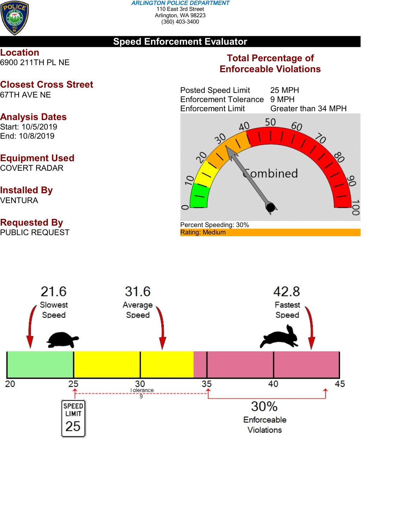

### **Speed Enforcement Evaluator**

**Location** 6900 211TH PL NE

### **Closest Cross Street** 67TH AVE NE

### **Analysis Dates** Start: 10/5/2019

End: 10/8/2019

## **Equipment Used**

COVERT RADAR

# **Installed By**

VENTURA

## **Requested By**

PUBLIC REQUEST

### **Total Percentage of Enforceable Violations**